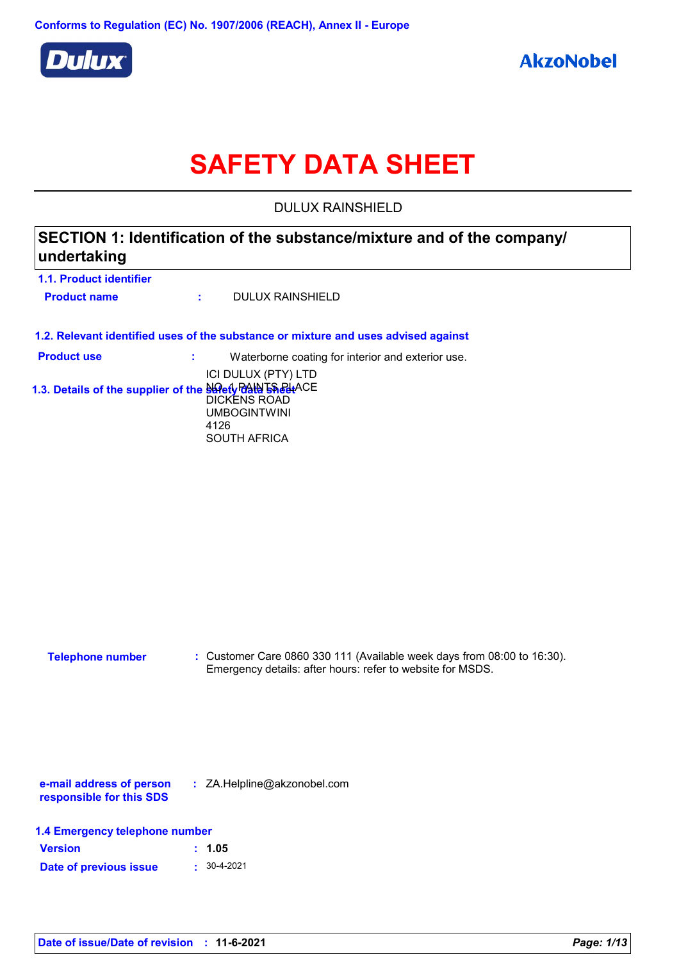

# **SAFETY DATA SHEET**

DULUX RAINSHIELD

### **SECTION 1: Identification of the substance/mixture and of the company/ undertaking**

| 1.1. Product identifier |  |                  |
|-------------------------|--|------------------|
| <b>Product name</b>     |  | DULUX RAINSHIELD |

**1.2. Relevant identified uses of the substance or mixture and uses advised against**

| <b>Product use</b>                                          | Waterborne coating for interior and exterior use. |
|-------------------------------------------------------------|---------------------------------------------------|
|                                                             | ICI DULUX (PTY) LTD                               |
| 1.3. Details of the supplier of the Safety RAIN 5 Safet+ACE |                                                   |
|                                                             | DICKENS ROAD                                      |
|                                                             | <b>UMBOGINTWINI</b>                               |
|                                                             | 4126                                              |
|                                                             | <b>SOUTH AFRICA</b>                               |

**:** Customer Care 0860 330 111 (Available week days from 08:00 to 16:30). Emergency details: after hours: refer to website for MSDS. **Telephone number**

**e-mail address of person responsible for this SDS :** ZA.Helpline@akzonobel.com

|  |  |  | 1.4 Emergency telephone number |  |
|--|--|--|--------------------------------|--|
|--|--|--|--------------------------------|--|

| <b>Version</b>         | : 1.05            |
|------------------------|-------------------|
| Date of previous issue | $\cdot$ 30-4-2021 |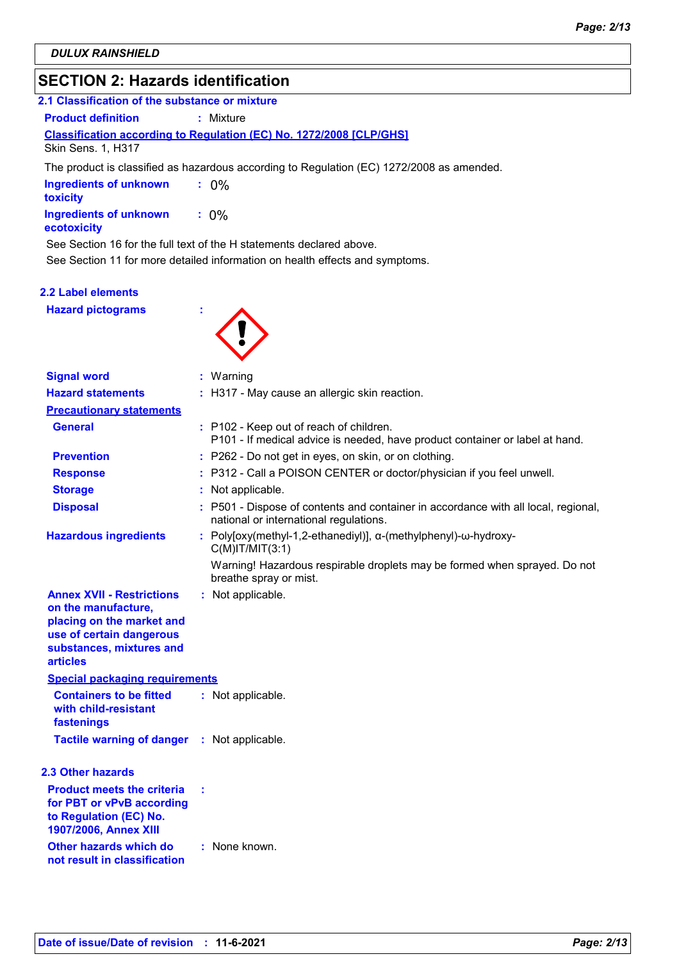### **SECTION 2: Hazards identification**

| 2.1 Classification of the substance or mixture |                                                                            |  |  |  |
|------------------------------------------------|----------------------------------------------------------------------------|--|--|--|
| <b>Product definition</b>                      | : Mixture                                                                  |  |  |  |
|                                                | <b>Classification according to Regulation (EC) No. 1272/2008 [CLP/GHS]</b> |  |  |  |
| <b>Skin Sens. 1, H317</b>                      |                                                                            |  |  |  |

The product is classified as hazardous according to Regulation (EC) 1272/2008 as amended.

| <b>Ingredients of unknown</b><br>toxicity | $: 0\%$ |
|-------------------------------------------|---------|
| Ingredients of unknown<br>ecotoxicity     | $: 0\%$ |

See Section 16 for the full text of the H statements declared above.

See Section 11 for more detailed information on health effects and symptoms.

#### **2.2 Label elements**

**Hazard pictograms :**



| <b>Signal word</b>                                                                                                                                              |   | : Warning                                                                                                                    |
|-----------------------------------------------------------------------------------------------------------------------------------------------------------------|---|------------------------------------------------------------------------------------------------------------------------------|
| <b>Hazard statements</b>                                                                                                                                        |   | : H317 - May cause an allergic skin reaction.                                                                                |
| <b>Precautionary statements</b>                                                                                                                                 |   |                                                                                                                              |
| <b>General</b>                                                                                                                                                  |   | : P102 - Keep out of reach of children.<br>P101 - If medical advice is needed, have product container or label at hand.      |
| <b>Prevention</b>                                                                                                                                               |   | : P262 - Do not get in eyes, on skin, or on clothing.                                                                        |
| <b>Response</b>                                                                                                                                                 |   | : P312 - Call a POISON CENTER or doctor/physician if you feel unwell.                                                        |
| <b>Storage</b>                                                                                                                                                  |   | Not applicable.                                                                                                              |
| <b>Disposal</b>                                                                                                                                                 |   | : P501 - Dispose of contents and container in accordance with all local, regional,<br>national or international regulations. |
| <b>Hazardous ingredients</b>                                                                                                                                    |   | : Poly[oxy(methyl-1,2-ethanediyl)], α-(methylphenyl)-ω-hydroxy-<br>$C(M)$ IT/MIT $(3:1)$                                     |
|                                                                                                                                                                 |   | Warning! Hazardous respirable droplets may be formed when sprayed. Do not<br>breathe spray or mist.                          |
| <b>Annex XVII - Restrictions</b><br>on the manufacture,<br>placing on the market and<br>use of certain dangerous<br>substances, mixtures and<br><b>articles</b> |   | : Not applicable.                                                                                                            |
| <b>Special packaging requirements</b>                                                                                                                           |   |                                                                                                                              |
| <b>Containers to be fitted</b><br>with child-resistant<br>fastenings                                                                                            |   | : Not applicable.                                                                                                            |
| <b>Tactile warning of danger : Not applicable.</b>                                                                                                              |   |                                                                                                                              |
| <b>2.3 Other hazards</b>                                                                                                                                        |   |                                                                                                                              |
| <b>Product meets the criteria</b><br>for PBT or vPvB according<br>to Regulation (EC) No.<br>1907/2006, Annex XIII                                               | ÷ |                                                                                                                              |
| Other hazards which do<br>not result in classification                                                                                                          |   | : None known.                                                                                                                |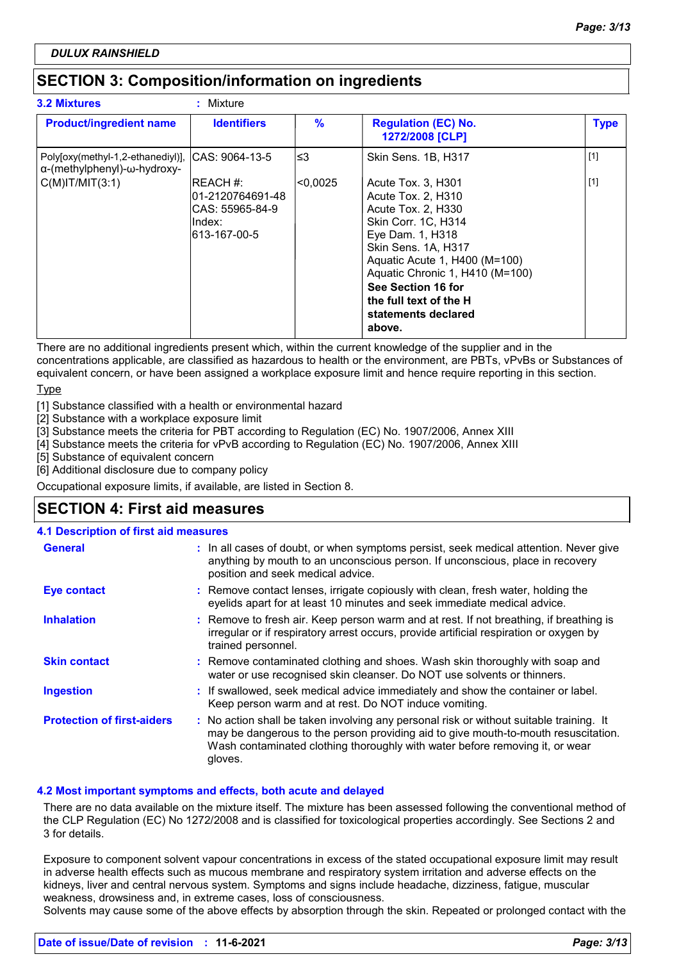### **SECTION 3: Composition/information on ingredients**

| <b>3.2 Mixtures</b>                                              | : Mixture                                                                    |               |                                                                                                                                                                                                                                                                                       |             |
|------------------------------------------------------------------|------------------------------------------------------------------------------|---------------|---------------------------------------------------------------------------------------------------------------------------------------------------------------------------------------------------------------------------------------------------------------------------------------|-------------|
| <b>Product/ingredient name</b>                                   | <b>Identifiers</b>                                                           | $\frac{9}{6}$ | <b>Regulation (EC) No.</b><br>1272/2008 [CLP]                                                                                                                                                                                                                                         | <b>Type</b> |
| Poly[oxy(methyl-1,2-ethanediyl)],<br>α-(methylphenyl)-ω-hydroxy- | ICAS: 9064-13-5                                                              | l≤3           | Skin Sens. 1B, H317                                                                                                                                                                                                                                                                   | $[1]$       |
| $C(M)$ IT/MIT $(3:1)$                                            | IREACH #:<br>l01-2120764691-48<br>ICAS: 55965-84-9<br>lndex:<br>613-167-00-5 | <0.0025       | Acute Tox. 3, H301<br>Acute Tox. 2, H310<br>Acute Tox. 2, H330<br>Skin Corr. 1C, H314<br>Eye Dam. 1, H318<br>Skin Sens. 1A, H317<br>Aquatic Acute 1, H400 (M=100)<br>Aquatic Chronic 1, H410 (M=100)<br>See Section 16 for<br>the full text of the H<br>statements declared<br>above. | $[1]$       |

There are no additional ingredients present which, within the current knowledge of the supplier and in the concentrations applicable, are classified as hazardous to health or the environment, are PBTs, vPvBs or Substances of equivalent concern, or have been assigned a workplace exposure limit and hence require reporting in this section.

**Type** 

[1] Substance classified with a health or environmental hazard

[2] Substance with a workplace exposure limit

[3] Substance meets the criteria for PBT according to Regulation (EC) No. 1907/2006, Annex XIII

[4] Substance meets the criteria for vPvB according to Regulation (EC) No. 1907/2006, Annex XIII

[5] Substance of equivalent concern

[6] Additional disclosure due to company policy

Occupational exposure limits, if available, are listed in Section 8.

### **SECTION 4: First aid measures**

#### **4.1 Description of first aid measures**

| <b>General</b>                    | : In all cases of doubt, or when symptoms persist, seek medical attention. Never give<br>anything by mouth to an unconscious person. If unconscious, place in recovery<br>position and seek medical advice.                                                              |
|-----------------------------------|--------------------------------------------------------------------------------------------------------------------------------------------------------------------------------------------------------------------------------------------------------------------------|
| <b>Eye contact</b>                | : Remove contact lenses, irrigate copiously with clean, fresh water, holding the<br>eyelids apart for at least 10 minutes and seek immediate medical advice.                                                                                                             |
| <b>Inhalation</b>                 | : Remove to fresh air. Keep person warm and at rest. If not breathing, if breathing is<br>irregular or if respiratory arrest occurs, provide artificial respiration or oxygen by<br>trained personnel.                                                                   |
| <b>Skin contact</b>               | : Remove contaminated clothing and shoes. Wash skin thoroughly with soap and<br>water or use recognised skin cleanser. Do NOT use solvents or thinners.                                                                                                                  |
| <b>Ingestion</b>                  | : If swallowed, seek medical advice immediately and show the container or label.<br>Keep person warm and at rest. Do NOT induce vomiting.                                                                                                                                |
| <b>Protection of first-aiders</b> | : No action shall be taken involving any personal risk or without suitable training. It<br>may be dangerous to the person providing aid to give mouth-to-mouth resuscitation.<br>Wash contaminated clothing thoroughly with water before removing it, or wear<br>gloves. |

#### **4.2 Most important symptoms and effects, both acute and delayed**

There are no data available on the mixture itself. The mixture has been assessed following the conventional method of the CLP Regulation (EC) No 1272/2008 and is classified for toxicological properties accordingly. See Sections 2 and 3 for details.

Exposure to component solvent vapour concentrations in excess of the stated occupational exposure limit may result in adverse health effects such as mucous membrane and respiratory system irritation and adverse effects on the kidneys, liver and central nervous system. Symptoms and signs include headache, dizziness, fatigue, muscular weakness, drowsiness and, in extreme cases, loss of consciousness.

Solvents may cause some of the above effects by absorption through the skin. Repeated or prolonged contact with the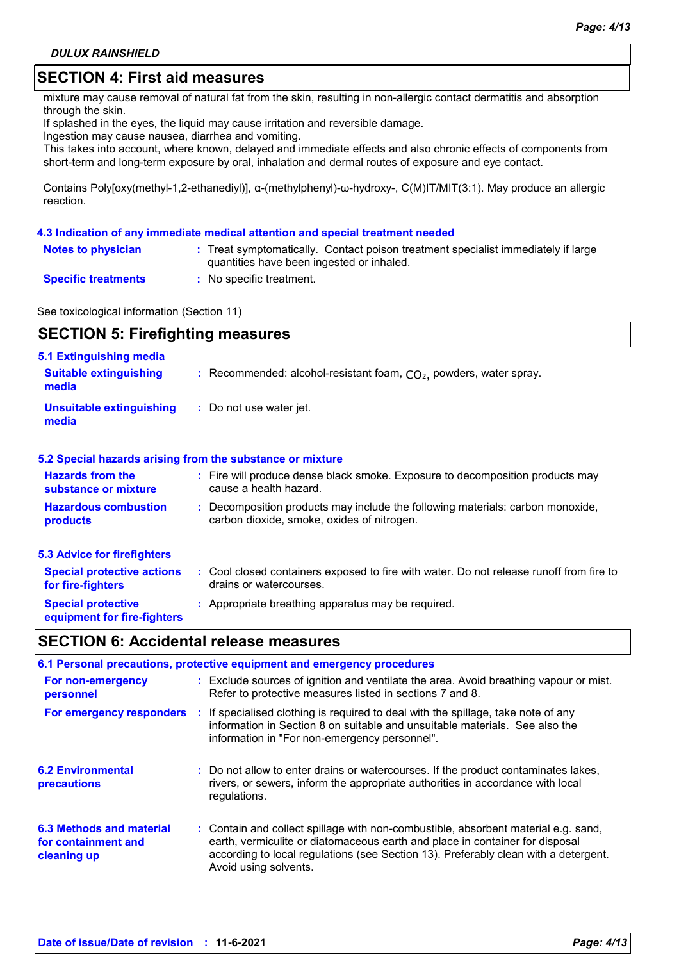### **SECTION 4: First aid measures**

mixture may cause removal of natural fat from the skin, resulting in non-allergic contact dermatitis and absorption through the skin.

If splashed in the eyes, the liquid may cause irritation and reversible damage.

Ingestion may cause nausea, diarrhea and vomiting.

This takes into account, where known, delayed and immediate effects and also chronic effects of components from short-term and long-term exposure by oral, inhalation and dermal routes of exposure and eye contact.

Contains Poly[oxy(methyl-1,2-ethanediyl)], α-(methylphenyl)-ω-hydroxy-, C(M)IT/MIT(3:1). May produce an allergic reaction.

#### **4.3 Indication of any immediate medical attention and special treatment needed**

| <b>Notes to physician</b>  | : Treat symptomatically. Contact poison treatment specialist immediately if large |
|----------------------------|-----------------------------------------------------------------------------------|
|                            | quantities have been ingested or inhaled.                                         |
| <b>Specific treatments</b> | $\blacksquare$ No specific treatment.                                             |

See toxicological information (Section 11)

| <b>SECTION 5: Firefighting measures</b>                                  |                                                                                                                              |  |
|--------------------------------------------------------------------------|------------------------------------------------------------------------------------------------------------------------------|--|
| <b>5.1 Extinguishing media</b><br><b>Suitable extinguishing</b><br>media | : Recommended: alcohol-resistant foam, $CO2$ , powders, water spray.                                                         |  |
| <b>Unsuitable extinguishing</b><br>media                                 | : Do not use water jet.                                                                                                      |  |
|                                                                          | 5.2 Special hazards arising from the substance or mixture                                                                    |  |
| <b>Hazards from the</b><br>substance or mixture                          | : Fire will produce dense black smoke. Exposure to decomposition products may<br>cause a health hazard.                      |  |
| <b>Hazardous combustion</b><br>products                                  | : Decomposition products may include the following materials: carbon monoxide,<br>carbon dioxide, smoke, oxides of nitrogen. |  |
| <b>5.3 Advice for firefighters</b>                                       |                                                                                                                              |  |
| <b>Special protective actions</b><br>for fire-fighters                   | : Cool closed containers exposed to fire with water. Do not release runoff from fire to<br>drains or watercourses.           |  |
| <b>Special protective</b><br>equipment for fire-fighters                 | : Appropriate breathing apparatus may be required.                                                                           |  |

### **SECTION 6: Accidental release measures**

|                                                                | 6.1 Personal precautions, protective equipment and emergency procedures                                                                                                                                                                                                            |
|----------------------------------------------------------------|------------------------------------------------------------------------------------------------------------------------------------------------------------------------------------------------------------------------------------------------------------------------------------|
| For non-emergency<br>personnel                                 | : Exclude sources of ignition and ventilate the area. Avoid breathing vapour or mist.<br>Refer to protective measures listed in sections 7 and 8.                                                                                                                                  |
| For emergency responders                                       | : If specialised clothing is required to deal with the spillage, take note of any<br>information in Section 8 on suitable and unsuitable materials. See also the<br>information in "For non-emergency personnel".                                                                  |
| <b>6.2 Environmental</b><br>precautions                        | : Do not allow to enter drains or watercourses. If the product contaminates lakes,<br>rivers, or sewers, inform the appropriate authorities in accordance with local<br>regulations.                                                                                               |
| 6.3 Methods and material<br>for containment and<br>cleaning up | : Contain and collect spillage with non-combustible, absorbent material e.g. sand,<br>earth, vermiculite or diatomaceous earth and place in container for disposal<br>according to local regulations (see Section 13). Preferably clean with a detergent.<br>Avoid using solvents. |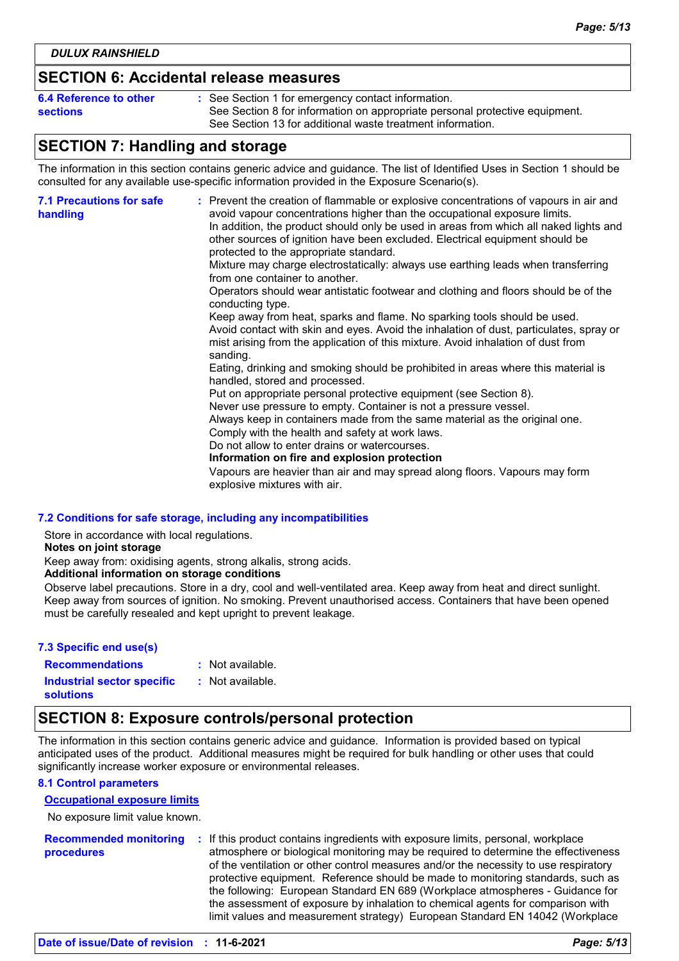### **SECTION 6: Accidental release measures**

| 6.4 Reference to other | : See Section 1 for emergency contact information.                                                                                        |
|------------------------|-------------------------------------------------------------------------------------------------------------------------------------------|
| <b>sections</b>        | See Section 8 for information on appropriate personal protective equipment.<br>See Section 13 for additional waste treatment information. |

### **SECTION 7: Handling and storage**

The information in this section contains generic advice and guidance. The list of Identified Uses in Section 1 should be consulted for any available use-specific information provided in the Exposure Scenario(s).

| <b>7.1 Precautions for safe</b><br>handling | : Prevent the creation of flammable or explosive concentrations of vapours in air and<br>avoid vapour concentrations higher than the occupational exposure limits.<br>In addition, the product should only be used in areas from which all naked lights and<br>other sources of ignition have been excluded. Electrical equipment should be<br>protected to the appropriate standard.<br>Mixture may charge electrostatically: always use earthing leads when transferring<br>from one container to another.<br>Operators should wear antistatic footwear and clothing and floors should be of the<br>conducting type.<br>Keep away from heat, sparks and flame. No sparking tools should be used.<br>Avoid contact with skin and eyes. Avoid the inhalation of dust, particulates, spray or<br>mist arising from the application of this mixture. Avoid inhalation of dust from<br>sanding.<br>Eating, drinking and smoking should be prohibited in areas where this material is<br>handled, stored and processed.<br>Put on appropriate personal protective equipment (see Section 8).<br>Never use pressure to empty. Container is not a pressure vessel.<br>Always keep in containers made from the same material as the original one.<br>Comply with the health and safety at work laws.<br>Do not allow to enter drains or watercourses.<br>Information on fire and explosion protection<br>Vapours are heavier than air and may spread along floors. Vapours may form<br>explosive mixtures with air. |
|---------------------------------------------|--------------------------------------------------------------------------------------------------------------------------------------------------------------------------------------------------------------------------------------------------------------------------------------------------------------------------------------------------------------------------------------------------------------------------------------------------------------------------------------------------------------------------------------------------------------------------------------------------------------------------------------------------------------------------------------------------------------------------------------------------------------------------------------------------------------------------------------------------------------------------------------------------------------------------------------------------------------------------------------------------------------------------------------------------------------------------------------------------------------------------------------------------------------------------------------------------------------------------------------------------------------------------------------------------------------------------------------------------------------------------------------------------------------------------------------------------------------------------------------------------------------|
|---------------------------------------------|--------------------------------------------------------------------------------------------------------------------------------------------------------------------------------------------------------------------------------------------------------------------------------------------------------------------------------------------------------------------------------------------------------------------------------------------------------------------------------------------------------------------------------------------------------------------------------------------------------------------------------------------------------------------------------------------------------------------------------------------------------------------------------------------------------------------------------------------------------------------------------------------------------------------------------------------------------------------------------------------------------------------------------------------------------------------------------------------------------------------------------------------------------------------------------------------------------------------------------------------------------------------------------------------------------------------------------------------------------------------------------------------------------------------------------------------------------------------------------------------------------------|

#### **7.2 Conditions for safe storage, including any incompatibilities**

Store in accordance with local regulations.

#### **Notes on joint storage**

Keep away from: oxidising agents, strong alkalis, strong acids.

#### **Additional information on storage conditions**

Observe label precautions. Store in a dry, cool and well-ventilated area. Keep away from heat and direct sunlight. Keep away from sources of ignition. No smoking. Prevent unauthorised access. Containers that have been opened must be carefully resealed and kept upright to prevent leakage.

#### **7.3 Specific end use(s)**

| <b>Recommendations</b>            | : Not available. |
|-----------------------------------|------------------|
| <b>Industrial sector specific</b> | : Not available. |
| solutions                         |                  |

### **SECTION 8: Exposure controls/personal protection**

The information in this section contains generic advice and guidance. Information is provided based on typical anticipated uses of the product. Additional measures might be required for bulk handling or other uses that could significantly increase worker exposure or environmental releases.

#### **8.1 Control parameters**

#### **Occupational exposure limits**

No exposure limit value known.

**Recommended monitoring procedures :** If this product contains ingredients with exposure limits, personal, workplace atmosphere or biological monitoring may be required to determine the effectiveness of the ventilation or other control measures and/or the necessity to use respiratory protective equipment. Reference should be made to monitoring standards, such as the following: European Standard EN 689 (Workplace atmospheres - Guidance for the assessment of exposure by inhalation to chemical agents for comparison with limit values and measurement strategy) European Standard EN 14042 (Workplace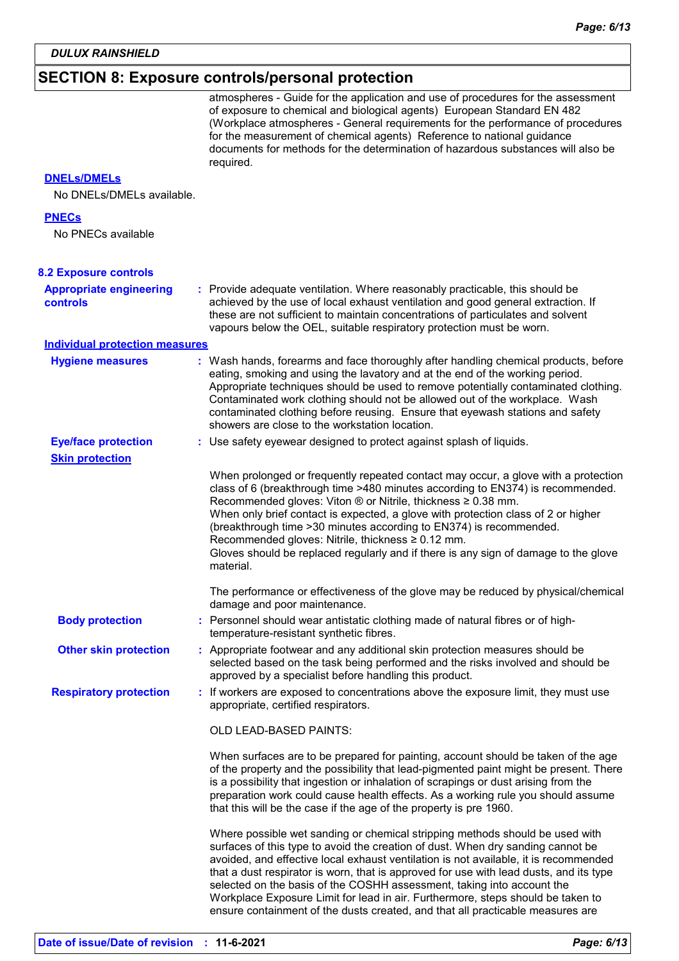## **SECTION 8: Exposure controls/personal protection**

|                                                   | atmospheres - Guide for the application and use of procedures for the assessment<br>of exposure to chemical and biological agents) European Standard EN 482<br>(Workplace atmospheres - General requirements for the performance of procedures<br>for the measurement of chemical agents) Reference to national guidance<br>documents for methods for the determination of hazardous substances will also be<br>required.                                                                                                                                                                        |
|---------------------------------------------------|--------------------------------------------------------------------------------------------------------------------------------------------------------------------------------------------------------------------------------------------------------------------------------------------------------------------------------------------------------------------------------------------------------------------------------------------------------------------------------------------------------------------------------------------------------------------------------------------------|
| <b>DNELS/DMELS</b>                                |                                                                                                                                                                                                                                                                                                                                                                                                                                                                                                                                                                                                  |
| No DNELs/DMELs available.                         |                                                                                                                                                                                                                                                                                                                                                                                                                                                                                                                                                                                                  |
| <b>PNECs</b>                                      |                                                                                                                                                                                                                                                                                                                                                                                                                                                                                                                                                                                                  |
| No PNECs available                                |                                                                                                                                                                                                                                                                                                                                                                                                                                                                                                                                                                                                  |
| <b>8.2 Exposure controls</b>                      |                                                                                                                                                                                                                                                                                                                                                                                                                                                                                                                                                                                                  |
| <b>Appropriate engineering</b><br><b>controls</b> | : Provide adequate ventilation. Where reasonably practicable, this should be<br>achieved by the use of local exhaust ventilation and good general extraction. If<br>these are not sufficient to maintain concentrations of particulates and solvent<br>vapours below the OEL, suitable respiratory protection must be worn.                                                                                                                                                                                                                                                                      |
| <b>Individual protection measures</b>             |                                                                                                                                                                                                                                                                                                                                                                                                                                                                                                                                                                                                  |
| <b>Hygiene measures</b>                           | : Wash hands, forearms and face thoroughly after handling chemical products, before<br>eating, smoking and using the lavatory and at the end of the working period.<br>Appropriate techniques should be used to remove potentially contaminated clothing.<br>Contaminated work clothing should not be allowed out of the workplace. Wash<br>contaminated clothing before reusing. Ensure that eyewash stations and safety<br>showers are close to the workstation location.                                                                                                                      |
| <b>Eye/face protection</b>                        | : Use safety eyewear designed to protect against splash of liquids.                                                                                                                                                                                                                                                                                                                                                                                                                                                                                                                              |
| <b>Skin protection</b>                            |                                                                                                                                                                                                                                                                                                                                                                                                                                                                                                                                                                                                  |
|                                                   | When prolonged or frequently repeated contact may occur, a glove with a protection<br>class of 6 (breakthrough time >480 minutes according to EN374) is recommended.<br>Recommended gloves: Viton ® or Nitrile, thickness ≥ 0.38 mm.<br>When only brief contact is expected, a glove with protection class of 2 or higher<br>(breakthrough time > 30 minutes according to EN374) is recommended.<br>Recommended gloves: Nitrile, thickness ≥ 0.12 mm.<br>Gloves should be replaced regularly and if there is any sign of damage to the glove<br>material.                                        |
|                                                   | The performance or effectiveness of the glove may be reduced by physical/chemical<br>damage and poor maintenance.                                                                                                                                                                                                                                                                                                                                                                                                                                                                                |
| <b>Body protection</b>                            | Personnel should wear antistatic clothing made of natural fibres or of high-<br>temperature-resistant synthetic fibres.                                                                                                                                                                                                                                                                                                                                                                                                                                                                          |
| <b>Other skin protection</b>                      | : Appropriate footwear and any additional skin protection measures should be<br>selected based on the task being performed and the risks involved and should be<br>approved by a specialist before handling this product.                                                                                                                                                                                                                                                                                                                                                                        |
| <b>Respiratory protection</b>                     | : If workers are exposed to concentrations above the exposure limit, they must use<br>appropriate, certified respirators.                                                                                                                                                                                                                                                                                                                                                                                                                                                                        |
|                                                   | OLD LEAD-BASED PAINTS:                                                                                                                                                                                                                                                                                                                                                                                                                                                                                                                                                                           |
|                                                   | When surfaces are to be prepared for painting, account should be taken of the age<br>of the property and the possibility that lead-pigmented paint might be present. There<br>is a possibility that ingestion or inhalation of scrapings or dust arising from the<br>preparation work could cause health effects. As a working rule you should assume<br>that this will be the case if the age of the property is pre 1960.                                                                                                                                                                      |
|                                                   | Where possible wet sanding or chemical stripping methods should be used with<br>surfaces of this type to avoid the creation of dust. When dry sanding cannot be<br>avoided, and effective local exhaust ventilation is not available, it is recommended<br>that a dust respirator is worn, that is approved for use with lead dusts, and its type<br>selected on the basis of the COSHH assessment, taking into account the<br>Workplace Exposure Limit for lead in air. Furthermore, steps should be taken to<br>ensure containment of the dusts created, and that all practicable measures are |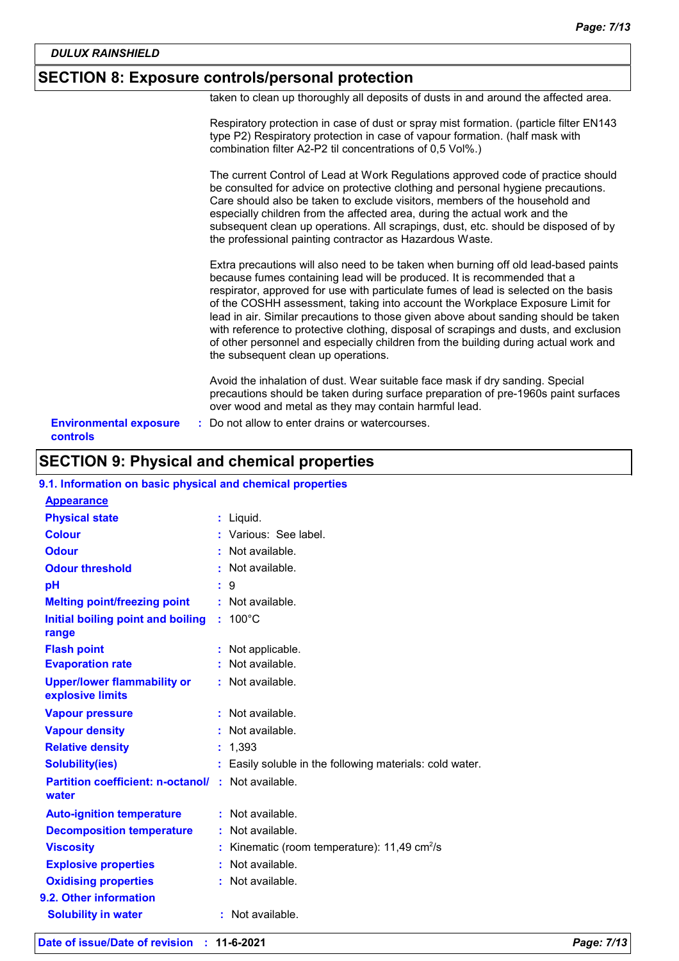### **SECTION 8: Exposure controls/personal protection**

taken to clean up thoroughly all deposits of dusts in and around the affected area.

| of other personnel and especially children from the building during actual work and<br>the subsequent clean up operations.<br>Avoid the inhalation of dust. Wear suitable face mask if dry sanding. Special<br>precautions should be taken during surface preparation of pre-1960s paint surfaces<br>over wood and metal as they may contain harmful lead.                                                                                                                                                               |
|--------------------------------------------------------------------------------------------------------------------------------------------------------------------------------------------------------------------------------------------------------------------------------------------------------------------------------------------------------------------------------------------------------------------------------------------------------------------------------------------------------------------------|
| Extra precautions will also need to be taken when burning off old lead-based paints<br>because fumes containing lead will be produced. It is recommended that a<br>respirator, approved for use with particulate fumes of lead is selected on the basis<br>of the COSHH assessment, taking into account the Workplace Exposure Limit for<br>lead in air. Similar precautions to those given above about sanding should be taken<br>with reference to protective clothing, disposal of scrapings and dusts, and exclusion |
| The current Control of Lead at Work Regulations approved code of practice should<br>be consulted for advice on protective clothing and personal hygiene precautions.<br>Care should also be taken to exclude visitors, members of the household and<br>especially children from the affected area, during the actual work and the<br>subsequent clean up operations. All scrapings, dust, etc. should be disposed of by<br>the professional painting contractor as Hazardous Waste.                                      |
| Respiratory protection in case of dust or spray mist formation. (particle filter EN143<br>type P2) Respiratory protection in case of vapour formation. (half mask with<br>combination filter A2-P2 til concentrations of 0,5 Vol%.)                                                                                                                                                                                                                                                                                      |

### **SECTION 9: Physical and chemical properties**

| 9.1. Information on basic physical and chemical properties         |  |                                                            |  |
|--------------------------------------------------------------------|--|------------------------------------------------------------|--|
| <b>Appearance</b>                                                  |  |                                                            |  |
| <b>Physical state</b>                                              |  | $:$ Liquid.                                                |  |
| <b>Colour</b>                                                      |  | : Various: See label.                                      |  |
| <b>Odour</b>                                                       |  | Not available.                                             |  |
| <b>Odour threshold</b>                                             |  | Not available.                                             |  |
| pH                                                                 |  | $\therefore$ 9                                             |  |
| <b>Melting point/freezing point</b>                                |  | $:$ Not available.                                         |  |
| Initial boiling point and boiling<br>range                         |  | $: 100^{\circ}$ C                                          |  |
| <b>Flash point</b>                                                 |  | Not applicable.                                            |  |
| <b>Evaporation rate</b>                                            |  | : Not available.                                           |  |
| <b>Upper/lower flammability or</b><br>explosive limits             |  | : Not available.                                           |  |
| <b>Vapour pressure</b>                                             |  | Not available.                                             |  |
| <b>Vapour density</b>                                              |  | : Not available.                                           |  |
| <b>Relative density</b>                                            |  | 1.393                                                      |  |
| <b>Solubility(ies)</b>                                             |  | : Easily soluble in the following materials: cold water.   |  |
| <b>Partition coefficient: n-octanol/ : Not available.</b><br>water |  |                                                            |  |
| <b>Auto-ignition temperature</b>                                   |  | : Not available.                                           |  |
| <b>Decomposition temperature</b>                                   |  | : Not available.                                           |  |
| <b>Viscosity</b>                                                   |  | : Kinematic (room temperature): $11,49$ cm <sup>2</sup> /s |  |
| <b>Explosive properties</b>                                        |  | : Not available.                                           |  |
| <b>Oxidising properties</b>                                        |  | : Not available.                                           |  |
| 9.2. Other information                                             |  |                                                            |  |
| <b>Solubility in water</b>                                         |  | : Not available.                                           |  |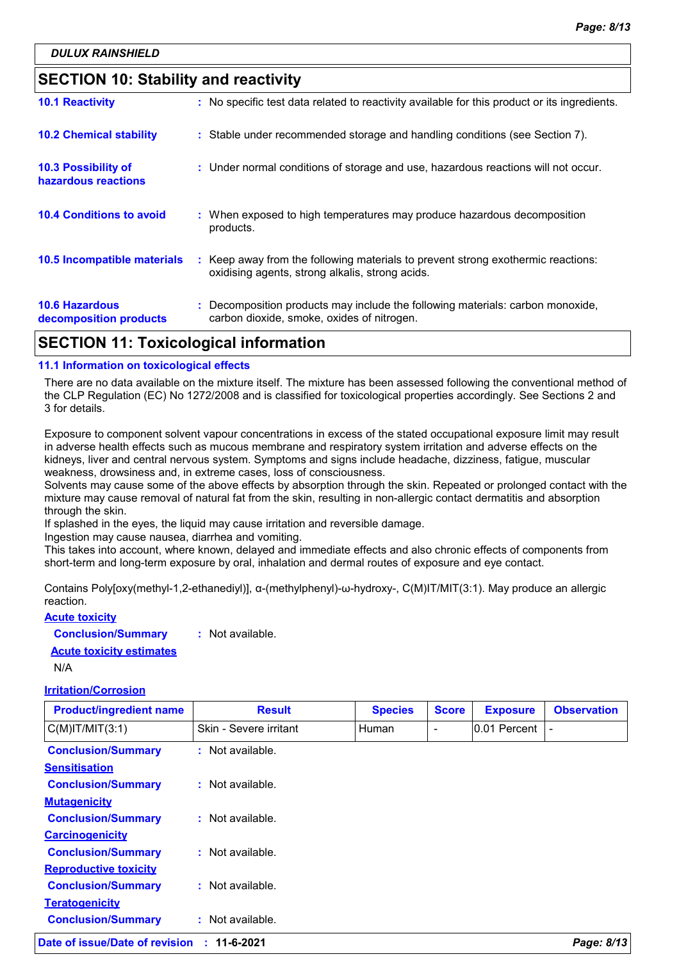### **SECTION 10: Stability and reactivity**

| APATIAN JJ T I I I I I I I I I                  |                                                                                                                                     |
|-------------------------------------------------|-------------------------------------------------------------------------------------------------------------------------------------|
| <b>10.6 Hazardous</b><br>decomposition products | : Decomposition products may include the following materials: carbon monoxide,<br>carbon dioxide, smoke, oxides of nitrogen.        |
| 10.5 Incompatible materials                     | : Keep away from the following materials to prevent strong exothermic reactions:<br>oxidising agents, strong alkalis, strong acids. |
| <b>10.4 Conditions to avoid</b>                 | : When exposed to high temperatures may produce hazardous decomposition<br>products.                                                |
| 10.3 Possibility of<br>hazardous reactions      | : Under normal conditions of storage and use, hazardous reactions will not occur.                                                   |
| <b>10.2 Chemical stability</b>                  | : Stable under recommended storage and handling conditions (see Section 7).                                                         |
| <b>10.1 Reactivity</b>                          | : No specific test data related to reactivity available for this product or its ingredients.                                        |

### **SECTION 11: Toxicological information**

#### **11.1 Information on toxicological effects**

There are no data available on the mixture itself. The mixture has been assessed following the conventional method of the CLP Regulation (EC) No 1272/2008 and is classified for toxicological properties accordingly. See Sections 2 and 3 for details.

Exposure to component solvent vapour concentrations in excess of the stated occupational exposure limit may result in adverse health effects such as mucous membrane and respiratory system irritation and adverse effects on the kidneys, liver and central nervous system. Symptoms and signs include headache, dizziness, fatigue, muscular weakness, drowsiness and, in extreme cases, loss of consciousness.

Solvents may cause some of the above effects by absorption through the skin. Repeated or prolonged contact with the mixture may cause removal of natural fat from the skin, resulting in non-allergic contact dermatitis and absorption through the skin.

If splashed in the eyes, the liquid may cause irritation and reversible damage.

Ingestion may cause nausea, diarrhea and vomiting.

This takes into account, where known, delayed and immediate effects and also chronic effects of components from short-term and long-term exposure by oral, inhalation and dermal routes of exposure and eye contact.

Contains Poly[oxy(methyl-1,2-ethanediyl)], α-(methylphenyl)-ω-hydroxy-, C(M)IT/MIT(3:1). May produce an allergic reaction.

**Acute toxicity Conclusion/Summary :** Not available. **Acute toxicity estimates**

N/A

#### **Irritation/Corrosion**

| <b>Product/ingredient name</b> | <b>Result</b>               | <b>Species</b> | <b>Score</b> | <b>Exposure</b> | <b>Observation</b> |
|--------------------------------|-----------------------------|----------------|--------------|-----------------|--------------------|
| $C(M)$ IT/MIT $(3:1)$          | Skin - Severe irritant      | Human          | ۰            | 0.01 Percent    |                    |
| <b>Conclusion/Summary</b>      | : Not available.            |                |              |                 |                    |
| <b>Sensitisation</b>           |                             |                |              |                 |                    |
| <b>Conclusion/Summary</b>      | $\therefore$ Not available. |                |              |                 |                    |
| <b>Mutagenicity</b>            |                             |                |              |                 |                    |
| <b>Conclusion/Summary</b>      | : Not available.            |                |              |                 |                    |
| <b>Carcinogenicity</b>         |                             |                |              |                 |                    |
| <b>Conclusion/Summary</b>      | $:$ Not available.          |                |              |                 |                    |
| <b>Reproductive toxicity</b>   |                             |                |              |                 |                    |
| <b>Conclusion/Summary</b>      | : Not available.            |                |              |                 |                    |
| <b>Teratogenicity</b>          |                             |                |              |                 |                    |
| <b>Conclusion/Summary</b>      | : Not available.            |                |              |                 |                    |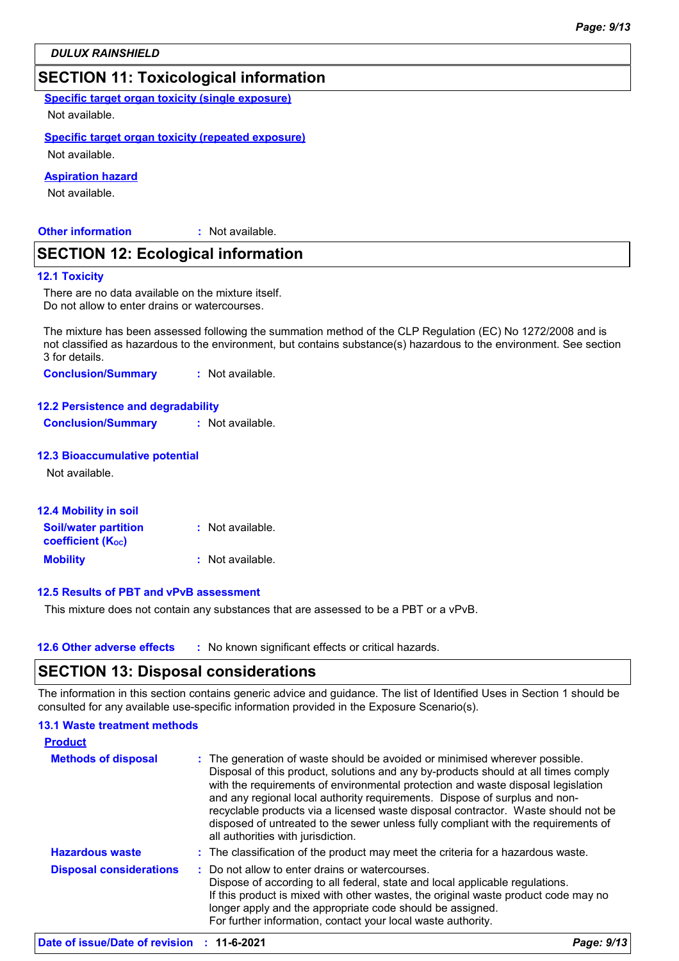### **SECTION 11: Toxicological information**

**Specific target organ toxicity (single exposure)**

Not available.

#### **Specific target organ toxicity (repeated exposure)**

Not available.

#### **Aspiration hazard**

Not available.

#### **Other information :**

: Not available.

### **SECTION 12: Ecological information**

#### **12.1 Toxicity**

There are no data available on the mixture itself. Do not allow to enter drains or watercourses.

The mixture has been assessed following the summation method of the CLP Regulation (EC) No 1272/2008 and is not classified as hazardous to the environment, but contains substance(s) hazardous to the environment. See section 3 for details.

**Conclusion/Summary :** Not available.

#### **12.2 Persistence and degradability**

**Conclusion/Summary :** Not available.

#### **12.3 Bioaccumulative potential**

Not available.

| <b>12.4 Mobility in soil</b>                                         |                  |
|----------------------------------------------------------------------|------------------|
| <b>Soil/water partition</b><br><b>coefficient</b> (K <sub>oc</sub> ) | : Not available. |
| <b>Mobility</b>                                                      | : Not available. |

#### **12.5 Results of PBT and vPvB assessment**

This mixture does not contain any substances that are assessed to be a PBT or a vPvB.

**12.6 Other adverse effects** : No known significant effects or critical hazards.

### **SECTION 13: Disposal considerations**

The information in this section contains generic advice and guidance. The list of Identified Uses in Section 1 should be consulted for any available use-specific information provided in the Exposure Scenario(s).

#### **13.1 Waste treatment methods**

| <b>Product</b>                 |                                                                                                                                                                                                                                                                                                                                                                                                                                                                                                                                                      |
|--------------------------------|------------------------------------------------------------------------------------------------------------------------------------------------------------------------------------------------------------------------------------------------------------------------------------------------------------------------------------------------------------------------------------------------------------------------------------------------------------------------------------------------------------------------------------------------------|
| <b>Methods of disposal</b>     | : The generation of waste should be avoided or minimised wherever possible.<br>Disposal of this product, solutions and any by-products should at all times comply<br>with the requirements of environmental protection and waste disposal legislation<br>and any regional local authority requirements. Dispose of surplus and non-<br>recyclable products via a licensed waste disposal contractor. Waste should not be<br>disposed of untreated to the sewer unless fully compliant with the requirements of<br>all authorities with jurisdiction. |
| <b>Hazardous waste</b>         | : The classification of the product may meet the criteria for a hazardous waste.                                                                                                                                                                                                                                                                                                                                                                                                                                                                     |
| <b>Disposal considerations</b> | : Do not allow to enter drains or watercourses.<br>Dispose of according to all federal, state and local applicable regulations.<br>If this product is mixed with other wastes, the original waste product code may no<br>longer apply and the appropriate code should be assigned.<br>For further information, contact your local waste authority.                                                                                                                                                                                                   |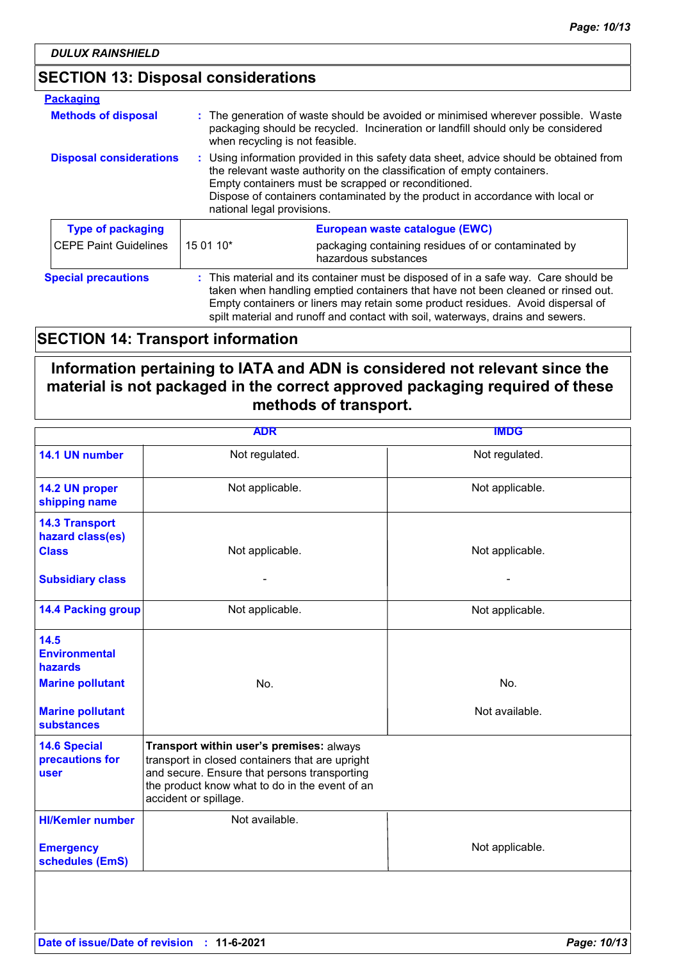### **SECTION 13: Disposal considerations**

| <b>Packaging</b>               |                                                                                                                                                                                                                                                                                                                                              |                                                                             |  |
|--------------------------------|----------------------------------------------------------------------------------------------------------------------------------------------------------------------------------------------------------------------------------------------------------------------------------------------------------------------------------------------|-----------------------------------------------------------------------------|--|
| <b>Methods of disposal</b>     | : The generation of waste should be avoided or minimised wherever possible. Waste<br>packaging should be recycled. Incineration or landfill should only be considered<br>when recycling is not feasible.                                                                                                                                     |                                                                             |  |
| <b>Disposal considerations</b> | : Using information provided in this safety data sheet, advice should be obtained from<br>the relevant waste authority on the classification of empty containers.<br>Empty containers must be scrapped or reconditioned.<br>Dispose of containers contaminated by the product in accordance with local or<br>national legal provisions.      |                                                                             |  |
| <b>Type of packaging</b>       |                                                                                                                                                                                                                                                                                                                                              | European waste catalogue (EWC)                                              |  |
| <b>CEPE Paint Guidelines</b>   | 15 01 10*                                                                                                                                                                                                                                                                                                                                    | packaging containing residues of or contaminated by<br>hazardous substances |  |
| <b>Special precautions</b>     | : This material and its container must be disposed of in a safe way. Care should be<br>taken when handling emptied containers that have not been cleaned or rinsed out.<br>Empty containers or liners may retain some product residues. Avoid dispersal of<br>spilt material and runoff and contact with soil, waterways, drains and sewers. |                                                                             |  |

### **SECTION 14: Transport information**

### **Information pertaining to IATA and ADN is considered not relevant since the material is not packaged in the correct approved packaging required of these methods of transport.**

|                                                           | <b>ADR</b>                                                                                                                                                                                                             | <b>IMDG</b>     |
|-----------------------------------------------------------|------------------------------------------------------------------------------------------------------------------------------------------------------------------------------------------------------------------------|-----------------|
| 14.1 UN number                                            | Not regulated.                                                                                                                                                                                                         | Not regulated.  |
| 14.2 UN proper<br>shipping name                           | Not applicable.                                                                                                                                                                                                        | Not applicable. |
| <b>14.3 Transport</b><br>hazard class(es)<br><b>Class</b> | Not applicable.                                                                                                                                                                                                        | Not applicable. |
| <b>Subsidiary class</b>                                   |                                                                                                                                                                                                                        |                 |
| <b>14.4 Packing group</b>                                 | Not applicable.                                                                                                                                                                                                        | Not applicable. |
| 14.5<br><b>Environmental</b><br>hazards                   |                                                                                                                                                                                                                        |                 |
| <b>Marine pollutant</b>                                   | No.                                                                                                                                                                                                                    | No.             |
| <b>Marine pollutant</b><br><b>substances</b>              |                                                                                                                                                                                                                        | Not available.  |
| <b>14.6 Special</b><br>precautions for<br><b>user</b>     | Transport within user's premises: always<br>transport in closed containers that are upright<br>and secure. Ensure that persons transporting<br>the product know what to do in the event of an<br>accident or spillage. |                 |
| <b>HI/Kemler number</b>                                   | Not available.                                                                                                                                                                                                         |                 |
| <b>Emergency</b><br>schedules (EmS)                       |                                                                                                                                                                                                                        | Not applicable. |
|                                                           |                                                                                                                                                                                                                        |                 |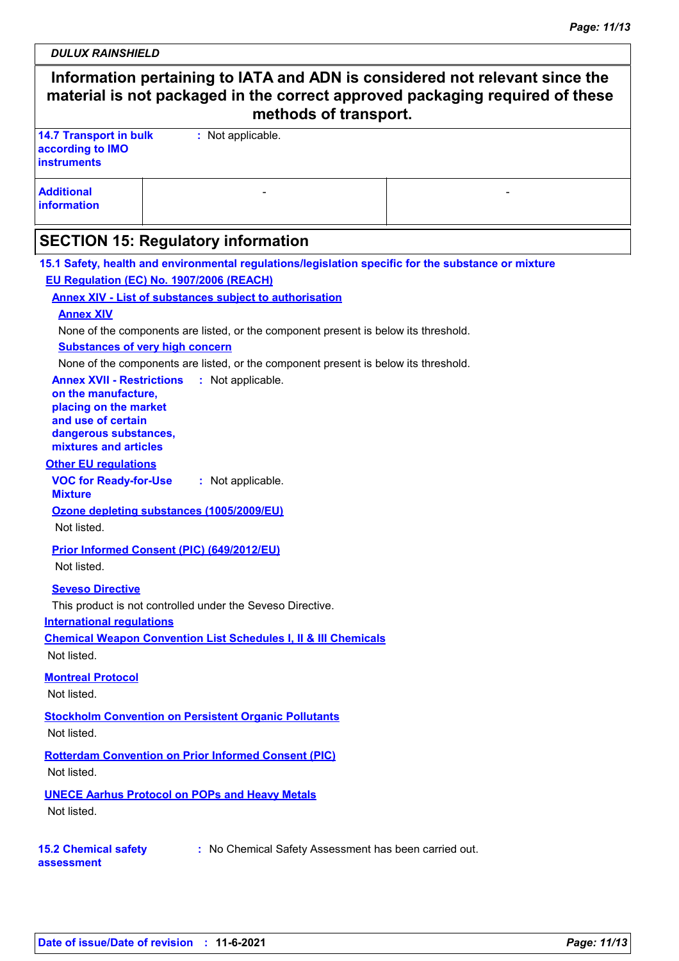*DULUX RAINSHIELD*

 $\mathbf{I}$ 

| Information pertaining to IATA and ADN is considered not relevant since the<br>material is not packaged in the correct approved packaging required of these<br>methods of transport.                                                                                                                                   |                                                                                                                                                                                                                                                                                                                                                                                                                               |                                                                                                     |  |  |
|------------------------------------------------------------------------------------------------------------------------------------------------------------------------------------------------------------------------------------------------------------------------------------------------------------------------|-------------------------------------------------------------------------------------------------------------------------------------------------------------------------------------------------------------------------------------------------------------------------------------------------------------------------------------------------------------------------------------------------------------------------------|-----------------------------------------------------------------------------------------------------|--|--|
| <b>14.7 Transport in bulk</b><br>according to IMO<br><b>instruments</b>                                                                                                                                                                                                                                                | : Not applicable.                                                                                                                                                                                                                                                                                                                                                                                                             |                                                                                                     |  |  |
| <b>Additional</b><br>information                                                                                                                                                                                                                                                                                       |                                                                                                                                                                                                                                                                                                                                                                                                                               |                                                                                                     |  |  |
|                                                                                                                                                                                                                                                                                                                        | <b>SECTION 15: Regulatory information</b>                                                                                                                                                                                                                                                                                                                                                                                     |                                                                                                     |  |  |
| <b>Annex XIV</b><br><b>Substances of very high concern</b><br><b>Annex XVII - Restrictions</b><br>on the manufacture,<br>placing on the market<br>and use of certain<br>dangerous substances,<br>mixtures and articles<br><b>Other EU regulations</b><br><b>VOC for Ready-for-Use</b><br><b>Mixture</b><br>Not listed. | EU Regulation (EC) No. 1907/2006 (REACH)<br><b>Annex XIV - List of substances subject to authorisation</b><br>None of the components are listed, or the component present is below its threshold.<br>None of the components are listed, or the component present is below its threshold.<br>: Not applicable.<br>: Not applicable.<br>Ozone depleting substances (1005/2009/EU)<br>Prior Informed Consent (PIC) (649/2012/EU) | 15.1 Safety, health and environmental regulations/legislation specific for the substance or mixture |  |  |
| Not listed.<br><b>Seveso Directive</b><br><b>International regulations</b><br>Not listed.                                                                                                                                                                                                                              | This product is not controlled under the Seveso Directive.<br><b>Chemical Weapon Convention List Schedules I, II &amp; III Chemicals</b>                                                                                                                                                                                                                                                                                      |                                                                                                     |  |  |
| <b>Montreal Protocol</b><br>Not listed.                                                                                                                                                                                                                                                                                |                                                                                                                                                                                                                                                                                                                                                                                                                               |                                                                                                     |  |  |
| Not listed.<br>Not listed.                                                                                                                                                                                                                                                                                             | <b>Stockholm Convention on Persistent Organic Pollutants</b><br><b>Rotterdam Convention on Prior Informed Consent (PIC)</b>                                                                                                                                                                                                                                                                                                   |                                                                                                     |  |  |
| Not listed.                                                                                                                                                                                                                                                                                                            | <b>UNECE Aarhus Protocol on POPs and Heavy Metals</b>                                                                                                                                                                                                                                                                                                                                                                         |                                                                                                     |  |  |
| <b>15.2 Chemical safety</b><br>assessment                                                                                                                                                                                                                                                                              |                                                                                                                                                                                                                                                                                                                                                                                                                               | : No Chemical Safety Assessment has been carried out.                                               |  |  |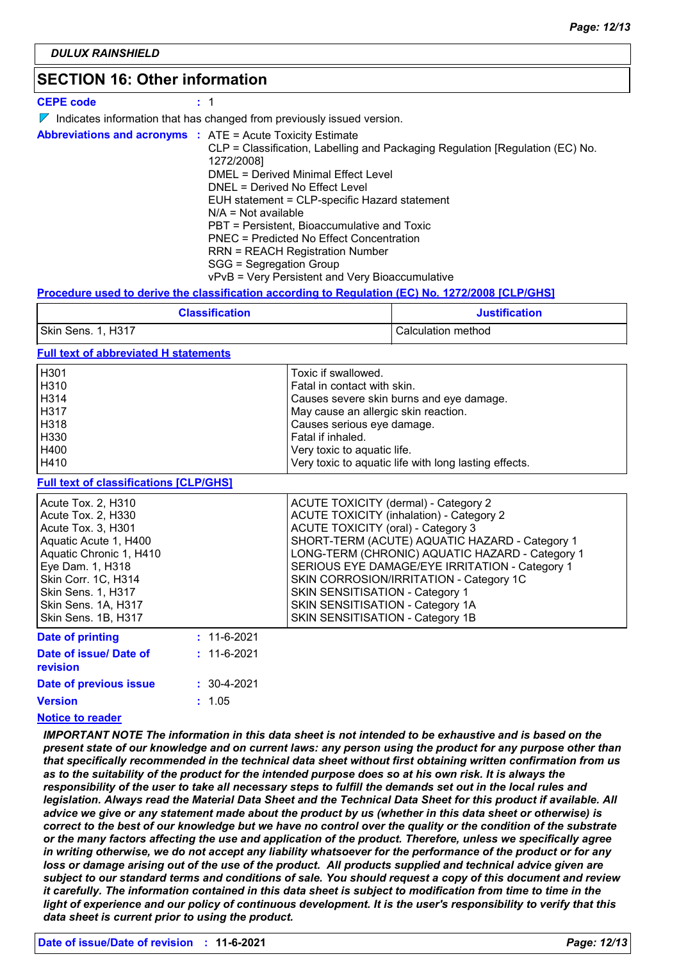### **SECTION 16: Other information**

| <b>CEPE code</b>                                                  | : 1                                                                                                                                                                                                                                                                                                                                                                                                                                                        |
|-------------------------------------------------------------------|------------------------------------------------------------------------------------------------------------------------------------------------------------------------------------------------------------------------------------------------------------------------------------------------------------------------------------------------------------------------------------------------------------------------------------------------------------|
|                                                                   | $\triangleright$ Indicates information that has changed from previously issued version.                                                                                                                                                                                                                                                                                                                                                                    |
| <b>Abbreviations and acronyms : ATE = Acute Toxicity Estimate</b> | CLP = Classification, Labelling and Packaging Regulation [Regulation (EC) No.<br>1272/2008]<br>DMEL = Derived Minimal Effect Level<br>DNEL = Derived No Effect Level<br>EUH statement = CLP-specific Hazard statement<br>$N/A = Not available$<br>PBT = Persistent, Bioaccumulative and Toxic<br>PNEC = Predicted No Effect Concentration<br>RRN = REACH Registration Number<br>SGG = Segregation Group<br>vPvB = Very Persistent and Very Bioaccumulative |

#### **Procedure used to derive the classification according to Regulation (EC) No. 1272/2008 [CLP/GHS]**

| <b>Classification</b> | <b>Justification</b> |
|-----------------------|----------------------|
| Skin Sens. 1, H317    | Calculation method   |

#### **Full text of abbreviated H statements**

| H <sub>301</sub> | Toxic if swallowed.                                   |
|------------------|-------------------------------------------------------|
| H <sub>310</sub> | Fatal in contact with skin.                           |
| H314             | Causes severe skin burns and eye damage.              |
| H <sub>317</sub> | May cause an allergic skin reaction.                  |
| H318             | Causes serious eye damage.                            |
| H330             | Fatal if inhaled.                                     |
| H400             | Very toxic to aquatic life.                           |
| H410             | Very toxic to aquatic life with long lasting effects. |

#### **Full text of classifications [CLP/GHS]**

| Acute Tox. 2, H310        | <b>ACUTE TOXICITY (dermal) - Category 2</b>     |
|---------------------------|-------------------------------------------------|
| Acute Tox. 2, H330        | <b>ACUTE TOXICITY (inhalation) - Category 2</b> |
| Acute Tox. 3, H301        | <b>ACUTE TOXICITY (oral) - Category 3</b>       |
| Aquatic Acute 1, H400     | SHORT-TERM (ACUTE) AQUATIC HAZARD - Category 1  |
| Aquatic Chronic 1, H410   | LONG-TERM (CHRONIC) AQUATIC HAZARD - Category 1 |
| Eye Dam. 1, H318          | SERIOUS EYE DAMAGE/EYE IRRITATION - Category 1  |
| Skin Corr. 1C, H314       | SKIN CORROSION/IRRITATION - Category 1C         |
| <b>Skin Sens. 1, H317</b> | <b>SKIN SENSITISATION - Category 1</b>          |
| Skin Sens. 1A, H317       | SKIN SENSITISATION - Category 1A                |
| Skin Sens. 1B, H317       | SKIN SENSITISATION - Category 1B                |
|                           | 1.00001                                         |

| $: 11 - 6 - 2021$ |
|-------------------|
| $: 11 - 6 - 2021$ |
| $: 30 - 4 - 2021$ |
| : 1.05            |
|                   |

#### **Notice to reader**

*IMPORTANT NOTE The information in this data sheet is not intended to be exhaustive and is based on the present state of our knowledge and on current laws: any person using the product for any purpose other than that specifically recommended in the technical data sheet without first obtaining written confirmation from us as to the suitability of the product for the intended purpose does so at his own risk. It is always the responsibility of the user to take all necessary steps to fulfill the demands set out in the local rules and legislation. Always read the Material Data Sheet and the Technical Data Sheet for this product if available. All advice we give or any statement made about the product by us (whether in this data sheet or otherwise) is correct to the best of our knowledge but we have no control over the quality or the condition of the substrate or the many factors affecting the use and application of the product. Therefore, unless we specifically agree in writing otherwise, we do not accept any liability whatsoever for the performance of the product or for any*  loss or damage arising out of the use of the product. All products supplied and technical advice given are *subject to our standard terms and conditions of sale. You should request a copy of this document and review it carefully. The information contained in this data sheet is subject to modification from time to time in the light of experience and our policy of continuous development. It is the user's responsibility to verify that this data sheet is current prior to using the product.*